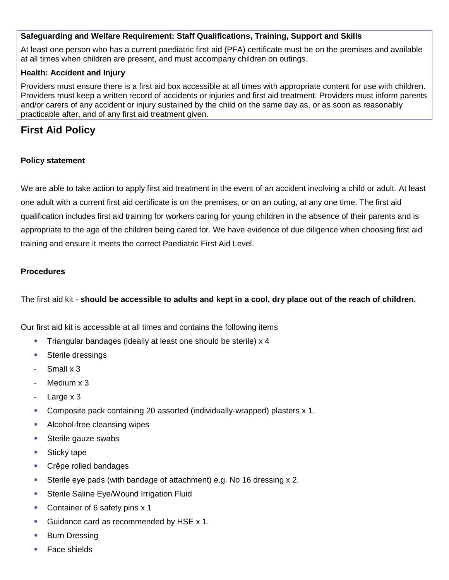#### **Safeguarding and Welfare Requirement: Staff Qualifications, Training, Support and Skills**

At least one person who has a current paediatric first aid (PFA) certificate must be on the premises and available at all times when children are present, and must accompany children on outings.

#### **Health: Accident and Injury**

Providers must ensure there is a first aid box accessible at all times with appropriate content for use with children. Providers must keep a written record of accidents or injuries and first aid treatment. Providers must inform parents and/or carers of any accident or injury sustained by the child on the same day as, or as soon as reasonably practicable after, and of any first aid treatment given.

# **First Aid Policy**

#### **Policy statement**

We are able to take action to apply first aid treatment in the event of an accident involving a child or adult. At least one adult with a current first aid certificate is on the premises, or on an outing, at any one time. The first aid qualification includes first aid training for workers caring for young children in the absence of their parents and is appropriate to the age of the children being cared for. We have evidence of due diligence when choosing first aid training and ensure it meets the correct Paediatric First Aid Level.

#### **Procedures**

The first aid kit - **should be accessible to adults and kept in a cool, dry place out of the reach of children.**

Our first aid kit is accessible at all times and contains the following items

- **Triangular bandages (ideally at least one should be sterile) x 4**
- **Sterile dressings**
- **-** Small x 3
- **-** Medium x 3
- **-** Large x 3
- Composite pack containing 20 assorted (individually-wrapped) plasters x 1.
- **Alcohol-free cleansing wipes**
- **Sterile gauze swabs**
- Sticky tape
- **Crêpe rolled bandages**
- Sterile eye pads (with bandage of attachment) e.g. No 16 dressing x 2.
- **Sterile Saline Eye/Wound Irrigation Fluid**
- Container of 6 safety pins x 1
- Guidance card as recommended by HSE x 1.
- **Burn Dressing**
- Face shields